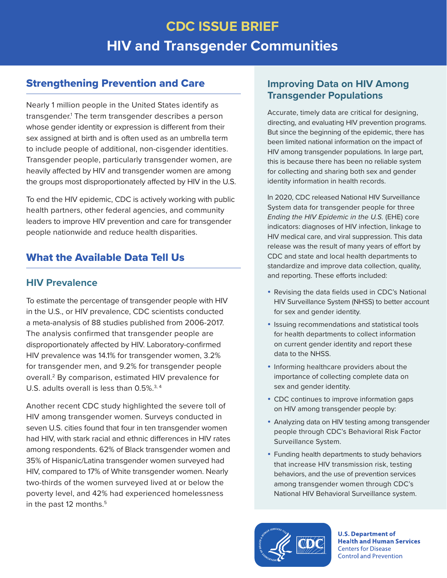# **CDC ISSUE BRIEF HIV and Transgender Communities**

## <span id="page-0-0"></span>Strengthening Prevention and Care

Nearly 1 million people in the United States identify as transgender[.1](#page-5-0) The term transgender describes a person whose gender identity or expression is different from their sex assigned at birth and is often used as an umbrella term to include people of additional, non-cisgender identities. Transgender people, particularly transgender women, are heavily affected by HIV and transgender women are among the groups most disproportionately affected by HIV in the U.S.

To end the HIV epidemic, CDC is actively working with public health partners, other federal agencies, and community leaders to improve HIV prevention and care for transgender people nationwide and reduce health disparities.

# What the Available Data Tell Us

## **HIV Prevalence**

To estimate the percentage of transgender people with HIV in the U.S., or HIV prevalence, CDC scientists conducted a meta-analysis of 88 studies published from 2006-2017. The analysis confirmed that transgender people are disproportionately affected by HIV. Laboratory-confirmed HIV prevalence was 14.1% for transgender women, 3.2% for transgender men, and 9.2% for transgender people overall.[2](#page-5-0) By comparison, estimated HIV prevalence for U.S. adults overall is less than 0.5%.<sup>[3,](#page-5-0) [4](#page-5-0)</sup>

Another recent CDC study highlighted the severe toll of HIV among transgender women. Surveys conducted in seven U.S. cities found that four in ten transgender women had HIV, with stark racial and ethnic differences in HIV rates among respondents. 62% of Black transgender women and 35% of Hispanic/Latina transgender women surveyed had HIV, compared to 17% of White transgender women. Nearly two-thirds of the women surveyed lived at or below the poverty level, and 42% had experienced homelessness in the past 12 months.<sup>[5](#page-5-0)</sup>

## **Improving Data on HIV Among Transgender Populations**

Accurate, timely data are critical for designing, directing, and evaluating HIV prevention programs. But since the beginning of the epidemic, there has been limited national information on the impact of HIV among transgender populations. In large part, this is because there has been no reliable system for collecting and sharing both sex and gender identity information in health records.

In 2020, CDC released National HIV Surveillance System data for transgender people for three *Ending the HIV Epidemic in the U.S.* (EHE) core indicators: diagnoses of HIV infection, linkage to HIV medical care, and viral suppression. This data release was the result of many years of effort by CDC and state and local health departments to standardize and improve data collection, quality, and reporting. These efforts included:

- Revising the data fields used in CDC's National HIV Surveillance System (NHSS) to better account for sex and gender identity.
- Issuing recommendations and statistical tools for health departments to collect information on current gender identity and report these data to the NHSS.
- Informing healthcare providers about the importance of collecting complete data on sex and gender identity.
- CDC continues to improve information gaps on HIV among transgender people by:
- Analyzing data on HIV testing among transgender people through CDC's Behavioral Risk Factor Surveillance System.
- Funding health departments to study behaviors that increase HIV transmission risk, testing behaviors, and the use of prevention services among transgender women through CDC's National HIV Behavioral Surveillance system.



**U.S. Department of Health and Human Services Centers for Disease Control and Prevention**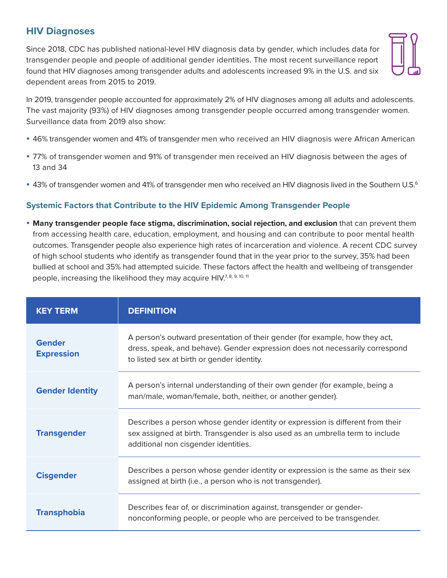## **HIV Diagnoses**

Since 2018, CDC has published national-level HIV diagnosis data by gender, which includes data for transgender people and people of additional gender identities. The most recent surveillance report found that HIV diagnoses among transgender adults and adolescents increased 9% in the U.S. and six dependent areas from 2015 to 2019.



In 2019, transgender people accounted for approximately 2% of HIV diagnoses among all adults and adolescents. The vast majority (93%) of HIV diagnoses among transgender people occurred among transgender women. Surveillance data from 2019 also show:

- 46% transgender women and 41% of transgender men who received an HIV diagnosis were African American
- 77% of transgender women and 91% of transgender men received an HIV diagnosis between the ages of 13 and 34
- 43% of transgender women and 41% of transgender men who received an HIV diagnosis lived in the Southern U.S.<sup>6</sup>

#### **Systemic Factors that Contribute to the HIV Epidemic Among Transgender People**

**• Many transgender people face stigma, discrimination, social rejection, and exclusion** that can prevent them from accessing health care, education, employment, and housing and can contribute to poor mental health outcomes. Transgender people also experience high rates of incarceration and violence. A recent CDC survey of high school students who identify as transgender found that in the year prior to the survey, 35% had been bullied at school and 35% had attempted suicide. These factors affect the health and wellbeing of transgender people, increasing the likelihood they may acquire  $H_1V^{7,8,9,10,11}$ 

| <b>KEY TERM</b>             | <b>DEFINITION</b>                                                                                                                                                                                         |
|-----------------------------|-----------------------------------------------------------------------------------------------------------------------------------------------------------------------------------------------------------|
| Gender<br><b>Expression</b> | A person's outward presentation of their gender (for example, how they act,<br>dress, speak, and behave). Gender expression does not necessarily correspond<br>to listed sex at birth or gender identity. |
| <b>Gender Identity</b>      | A person's internal understanding of their own gender (for example, being a<br>man/male, woman/female, both, neither, or another gender).                                                                 |
| <b>Transgender</b>          | Describes a person whose gender identity or expression is different from their<br>sex assigned at birth. Transgender is also used as an umbrella term to include<br>additional non cisgender identities.  |
| <b>Cisgender</b>            | Describes a person whose gender identity or expression is the same as their sex<br>assigned at birth (i.e., a person who is not transgender).                                                             |
| <b>Transphobia</b>          | Describes fear of, or discrimination against, transgender or gender-<br>nonconforming people, or people who are perceived to be transgender.                                                              |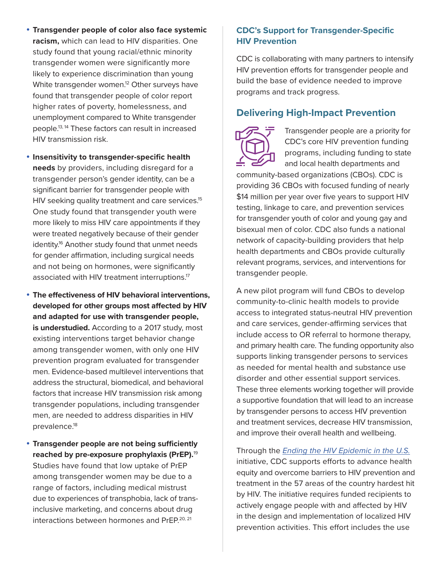- <span id="page-2-0"></span>**• Transgender people of color also face systemic racism,** which can lead to HIV disparities. One study found that young racial/ethnic minority transgender women were significantly more likely to experience discrimination than young White transgender women.<sup>12</sup> Other surveys have found that transgender people of color report higher rates of poverty, homelessness, and unemployment compared to White transgender people[.13, 14](#page-5-0) These factors can result in increased HIV transmission risk.
- $\cdot$  **Insensitivity to transgender-specific health needs** by providers, including disregard for a transgender person's gender identity, can be a significant barrier for transgender people with HIV seeking quality treatment and care services.<sup>15</sup> One study found that transgender youth were more likely to miss HIV care appointments if they were treated negatively because of their gender identity.<sup>16</sup> Another study found that unmet needs for gender affirmation, including surgical needs and not being on hormones, were significantly associated with HIV treatment interruptions.<sup>17</sup>
- **The effectiveness of HIV behavioral interventions, developed for other groups most affected by HIV and adapted for use with transgender people, is understudied.** According to a 2017 study, most existing interventions target behavior change among transgender women, with only one HIV prevention program evaluated for transgender men. Evidence-based multilevel interventions that address the structural, biomedical, and behavioral factors that increase HIV transmission risk among transgender populations, including transgender men, are needed to address disparities in HIV prevalence.<sup>18</sup>
- **Transgender people are not being sufficiently reached by pre-exposure prophylaxis (PrEP).**[19](#page-5-0) Studies have found that low uptake of PrEP among transgender women may be due to a range of factors, including medical mistrust due to experiences of transphobia, lack of transinclusive marketing, and concerns about drug interactions between hormones and PrEP.<sup>20, 21</sup>

#### **CDC's Support for Transgender-Specific HIV Prevention**

CDC is collaborating with many partners to intensify HIV prevention efforts for transgender people and build the base of evidence needed to improve programs and track progress.

#### **Delivering High-Impact Prevention**



Transgender people are a priority for CDC's core HIV prevention funding programs, including funding to state and local health departments and

community-based organizations (CBOs). CDC is providing 36 CBOs with focused funding of nearly \$14 million per year over five years to support HIV testing, linkage to care, and prevention services for transgender youth of color and young gay and bisexual men of color. CDC also funds a national network of capacity-building providers that help health departments and CBOs provide culturally relevant programs, services, and interventions for transgender people.

A new pilot program will fund CBOs to develop community-to-clinic health models to provide access to integrated status-neutral HIV prevention and care services, gender-affirming services that include access to OR referral to hormone therapy, and primary health care. The funding opportunity also supports linking transgender persons to services as needed for mental health and substance use disorder and other essential support services. These three elements working together will provide a supportive foundation that will lead to an increase by transgender persons to access HIV prevention and treatment services, decrease HIV transmission, and improve their overall health and wellbeing.

Through the *[Ending the HIV Epidemic in the U.S.](https://www.cdc.gov/endhiv/)* initiative, CDC supports efforts to advance health equity and overcome barriers to HIV prevention and treatment in the 57 areas of the country hardest hit by HIV. The initiative requires funded recipients to actively engage people with and affected by HIV in the design and implementation of localized HIV prevention activities. This effort includes the use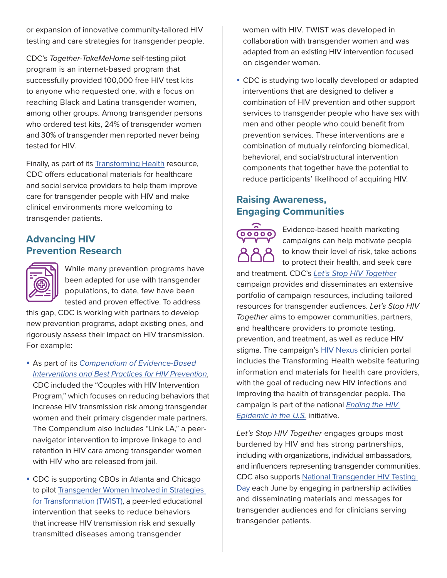or expansion of innovative community-tailored HIV testing and care strategies for transgender people.

CDC's *Together-TakeMeHome* self-testing pilot program is an internet-based program that successfully provided 100,000 free HIV test kits to anyone who requested one, with a focus on reaching Black and Latina transgender women, among other groups. Among transgender persons who ordered test kits, 24% of transgender women and 30% of transgender men reported never being tested for HIV.

Finally, as part of its [Transforming Health](https://www.cdc.gov/hiv/clinicians/transforming-health/index.html?CDC_AA_refVal=https%3A%2F%2Fwww.cdc.gov%2Factagainstaids%2Fcampaigns%2Ftransforminghealth%2Findex.html) resource, CDC offers educational materials for healthcare and social service providers to help them improve care for transgender people with HIV and make clinical environments more welcoming to transgender patients.

## **Advancing HIV Prevention Research**



While many prevention programs have been adapted for use with transgender populations, to date, few have been tested and proven effective. To address

this gap, CDC is working with partners to develop new prevention programs, adapt existing ones, and rigorously assess their impact on HIV transmission. For example:

- y As part of its *[Compendium of Evidence-Based](https://www.cdc.gov/hiv/research/interventionresearch/compendium/index.html)  [Interventions and Best Practices for HIV Prevention](https://www.cdc.gov/hiv/research/interventionresearch/compendium/index.html)*, CDC included the "Couples with HIV Intervention Program," which focuses on reducing behaviors that increase HIV transmission risk among transgender women and their primary cisgender male partners. The Compendium also includes "Link LA," a peernavigator intervention to improve linkage to and retention in HIV care among transgender women with HIV who are released from jail.
- CDC is supporting CBOs in Atlanta and Chicago to pilot [Transgender Women Involved in Strategies](https://www.cdc.gov/hiv/effective-interventions/treat/twist/index.html#:~:text=Transgender%20Women%20Involved%20in%20Strategies%20for%20Transformation%20(TWIST)%20is%20a,for%20at%20least%20three%20months.)  [for Transformation \(TWIST\),](https://www.cdc.gov/hiv/effective-interventions/treat/twist/index.html#:~:text=Transgender%20Women%20Involved%20in%20Strategies%20for%20Transformation%20(TWIST)%20is%20a,for%20at%20least%20three%20months.) a peer-led educational intervention that seeks to reduce behaviors that increase HIV transmission risk and sexually transmitted diseases among transgender

women with HIV. TWIST was developed in collaboration with transgender women and was adapted from an existing HIV intervention focused on cisgender women.

• CDC is studying two locally developed or adapted interventions that are designed to deliver a combination of HIV prevention and other support services to transgender people who have sex with men and other people who could benefit from prevention services. These interventions are a combination of mutually reinforcing biomedical, behavioral, and social/structural intervention components that together have the potential to reduce participants' likelihood of acquiring HIV.

### **Raising Awareness, Engaging Communities**



Evidence-based health marketing campaigns can help motivate people to know their level of risk, take actions to protect their health, and seek care

and treatment. CDC's *[Let's Stop HIV Together](https://www.cdc.gov/stophivtogether/index.html)* campaign provides and disseminates an extensive portfolio of campaign resources, including tailored resources for transgender audiences. *Let's Stop HIV Together* aims to empower communities, partners, and healthcare providers to promote testing, prevention, and treatment, as well as reduce HIV stigma. The campaign's [HIV Nexus](https://www.cdc.gov/hiv/clinicians/index.html) clinician portal includes the Transforming Health website featuring information and materials for health care providers, with the goal of reducing new HIV infections and improving the health of transgender people. The campaign is part of the national *[Ending the HIV](https://www.cdc.gov/endhiv/)  [Epidemic in the U.S.](https://www.cdc.gov/endhiv/)* initiative.

*Let's Stop HIV Together* engages groups most burdened by HIV and has strong partnerships, including with organizations, individual ambassadors, and influencers representing transgender communities. CDC also supports [National Transgender HIV Testing](https://www.cdc.gov/hiv/library/awareness/nthtd.html)  [Day](https://www.cdc.gov/hiv/library/awareness/nthtd.html) each June by engaging in partnership activities and disseminating materials and messages for transgender audiences and for clinicians serving transgender patients.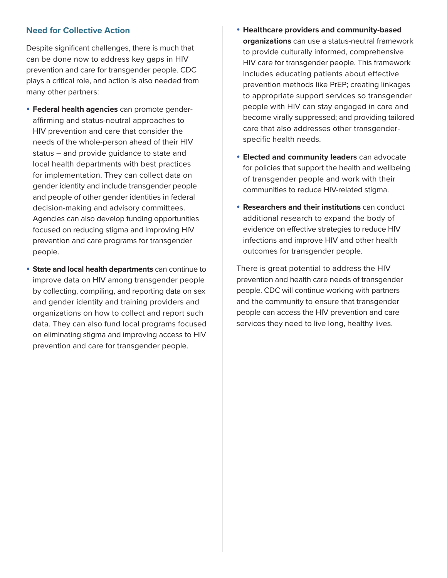#### **Need for Collective Action**

Despite significant challenges, there is much that can be done now to address key gaps in HIV prevention and care for transgender people. CDC plays a critical role, and action is also needed from many other partners:

- **Federal health agencies** can promote genderaffirming and status-neutral approaches to HIV prevention and care that consider the needs of the whole-person ahead of their HIV status – and provide guidance to state and local health departments with best practices for implementation. They can collect data on gender identity and include transgender people and people of other gender identities in federal decision-making and advisory committees. Agencies can also develop funding opportunities focused on reducing stigma and improving HIV prevention and care programs for transgender people.
- **State and local health departments** can continue to improve data on HIV among transgender people by collecting, compiling, and reporting data on sex and gender identity and training providers and organizations on how to collect and report such data. They can also fund local programs focused on eliminating stigma and improving access to HIV prevention and care for transgender people.
- y **Healthcare providers and community-based organizations** can use a status-neutral framework to provide culturally informed, comprehensive HIV care for transgender people. This framework includes educating patients about effective prevention methods like PrEP; creating linkages to appropriate support services so transgender people with HIV can stay engaged in care and become virally suppressed; and providing tailored care that also addresses other transgenderspecific health needs.
- **Elected and community leaders** can advocate for policies that support the health and wellbeing of transgender people and work with their communities to reduce HIV-related stigma.
- **Researchers and their institutions** can conduct additional research to expand the body of evidence on effective strategies to reduce HIV infections and improve HIV and other health outcomes for transgender people.

There is great potential to address the HIV prevention and health care needs of transgender people. CDC will continue working with partners and the community to ensure that transgender people can access the HIV prevention and care services they need to live long, healthy lives.